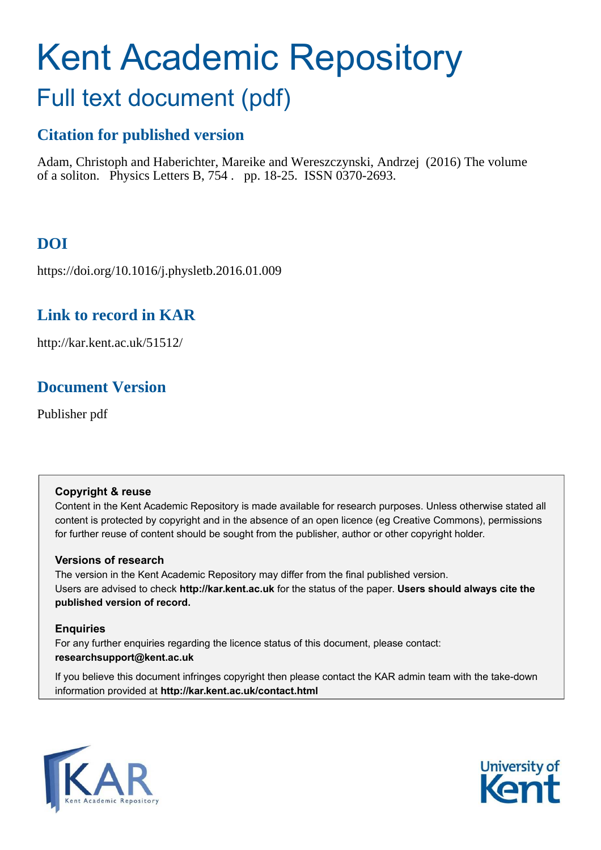# <span id="page-0-0"></span>Kent Academic Repository Full text document (pdf)

### **Citation for published version**

Adam, Christoph and Haberichter, Mareike and Wereszczynski, Andrzej (2016) The volume of a soliton. Physics Letters B, 754 . pp. 18-25. ISSN 0370-2693.

## **DOI**

https://doi.org/10.1016/j.physletb.2016.01.009

### **Link to record in KAR**

http://kar.kent.ac.uk/51512/

### **Document Version**

Publisher pdf

### **Copyright & reuse**

Content in the Kent Academic Repository is made available for research purposes. Unless otherwise stated all content is protected by copyright and in the absence of an open licence (eg Creative Commons), permissions for further reuse of content should be sought from the publisher, author or other copyright holder.

### **Versions of research**

The version in the Kent Academic Repository may differ from the final published version. Users are advised to check **http://kar.kent.ac.uk** for the status of the paper. **Users should always cite the published version of record.**

### **Enquiries**

For any further enquiries regarding the licence status of this document, please contact: **researchsupport@kent.ac.uk**

If you believe this document infringes copyright then please contact the KAR admin team with the take-down information provided at **http://kar.kent.ac.uk/contact.html**



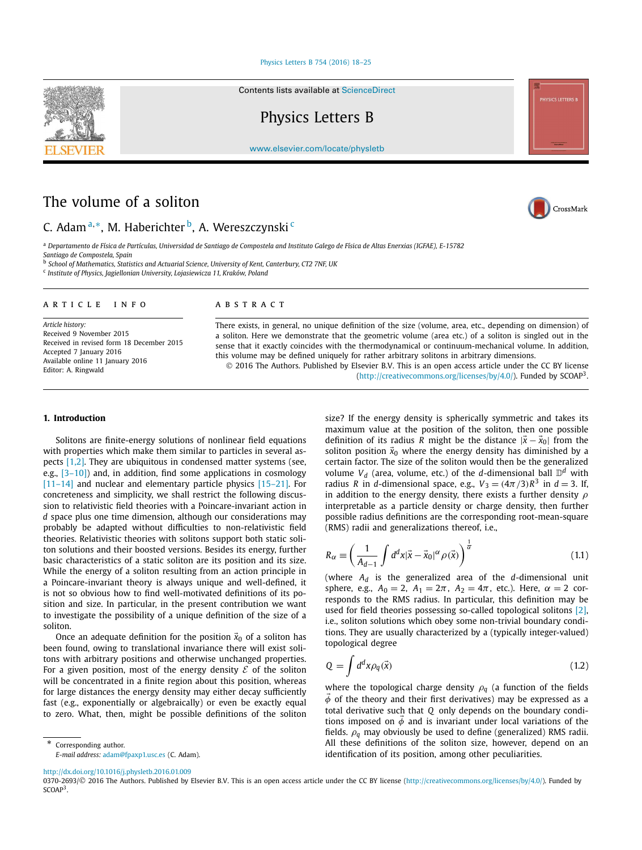[Physics Letters B 754 \(2016\) 18–25](http://dx.doi.org/10.1016/j.physletb.2016.01.009)

Contents lists available at [ScienceDirect](http://www.ScienceDirect.com/)

Physics Letters B

[www.elsevier.com/locate/physletb](http://www.elsevier.com/locate/physletb)

### The volume of a soliton

C. Ad[a](#page-0-0)m <sup>a,[∗](#page-0-0)</sup>, M. Ha[b](#page-0-0)eri[c](#page-0-0)hter <sup>b</sup>, A. Wereszczynski <sup>c</sup>

<sup>a</sup> Departamento de Física de Partículas, Universidad de Santiago de Compostela and Instituto Galego de Física de Altas Enerxias (IGFAE), E-15782 *Santiago de Compostela, Spain*

b *School of Mathematics, Statistics and Actuarial Science, University of Kent, Canterbury, CT2 7NF, UK*

c *Institute of Physics, Jagiellonian University, Lojasiewicza 11, Kraków, Poland*

#### A R T I C L E I N F O A B S T R A C T

*Article history:* Received 9 November 2015 Received in revised form 18 December 2015 Accepted 7 January 2016 Available online 11 January 2016 Editor: A. Ringwald

There exists, in general, no unique definition of the size (volume, area, etc., depending on dimension) of a soliton. Here we demonstrate that the geometric volume (area etc.) of a soliton is singled out in the sense that it exactly coincides with the thermodynamical or continuum-mechanical volume. In addition, this volume may be defined uniquely for rather arbitrary solitons in arbitrary dimensions. 2016 The Authors. Published by Elsevier B.V. This is an open access article under the CC BY license

[\(http://creativecommons.org/licenses/by/4.0/\)](http://creativecommons.org/licenses/by/4.0/). Funded by SCOAP<sup>3</sup>.

#### **1. Introduction**

Solitons are finite-energy solutions of nonlinear field equations with properties which make them similar to particles in several aspects [\[1,2\].](#page-6-0) They are ubiquitous in condensed matter systems (see, e.g.,  $[3-10]$  and, in addition, find some applications in cosmology [\[11–14\]](#page-6-0) and nuclear and elementary particle physics [\[15–21\].](#page-6-0) For concreteness and simplicity, we shall restrict the following discussion to relativistic field theories with a Poincare-invariant action in *d* space plus one time dimension, although our considerations may probably be adapted without difficulties to non-relativistic field theories. Relativistic theories with solitons support both static soliton solutions and their boosted versions. Besides its energy, further basic characteristics of a static soliton are its position and its size. While the energy of a soliton resulting from an action principle in a Poincare-invariant theory is always unique and well-defined, it is not so obvious how to find well-motivated definitions of its position and size. In particular, in the present contribution we want to investigate the possibility of a unique definition of the size of a soliton.

Once an adequate definition for the position  $\vec{x}_0$  of a soliton has been found, owing to translational invariance there will exist solitons with arbitrary positions and otherwise unchanged properties. For a given position, most of the energy density  $\mathcal E$  of the soliton will be concentrated in a finite region about this position, whereas for large distances the energy density may either decay sufficiently fast (e.g., exponentially or algebraically) or even be exactly equal to zero. What, then, might be possible definitions of the soliton

\* Corresponding author.

*E-mail address:* [adam@fpaxp1.usc.es](mailto:adam@fpaxp1.usc.es) (C. Adam).

size? If the energy density is spherically symmetric and takes its maximum value at the position of the soliton, then one possible definition of its radius *R* might be the distance  $|\vec{x} - \vec{x}_0|$  from the soliton position  $\vec{x}_0$  where the energy density has diminished by a certain factor. The size of the soliton would then be the generalized volume  $V_d$  (area, volume, etc.) of the *d*-dimensional ball  $\mathbb{D}^d$  with radius *R* in *d*-dimensional space, e.g.,  $V_3 = (4\pi/3)R^3$  in  $d = 3$ . If, in addition to the energy density, there exists a further density  $\rho$ interpretable as a particle density or charge density, then further possible radius definitions are the corresponding root-mean-square (RMS) radii and generalizations thereof, i.e.,

$$
R_{\alpha} \equiv \left(\frac{1}{A_{d-1}} \int d^d x |\vec{x} - \vec{x}_0|^{\alpha} \rho(\vec{x})\right)^{\frac{1}{\alpha}}
$$
(1.1)

(where *A<sup>d</sup>* is the generalized area of the *d*-dimensional unit sphere, e.g.,  $A_0 = 2$ ,  $A_1 = 2\pi$ ,  $A_2 = 4\pi$ , etc.). Here,  $\alpha = 2$  corresponds to the RMS radius. In particular, this definition may be used for field theories possessing so-called topological solitons [\[2\],](#page-6-0) i.e., soliton solutions which obey some non-trivial boundary conditions. They are usually characterized by a (typically integer-valued) topological degree

$$
Q = \int d^d x \rho_q(\vec{x}) \tag{1.2}
$$

where the topological charge density  $\rho_q$  (a function of the fields  $\vec{\phi}$  of the theory and their first derivatives) may be expressed as a total derivative such that *Q* only depends on the boundary conditions imposed on  $\vec{\phi}$  and is invariant under local variations of the fields.  $\rho_q$  may obviously be used to define (generalized) RMS radii. All these definitions of the soliton size, however, depend on an identification of its position, among other peculiarities.

<span id="page-1-0"></span>



<http://dx.doi.org/10.1016/j.physletb.2016.01.009>

<sup>0370-2693/© 2016</sup> The Authors. Published by Elsevier B.V. This is an open access article under the CC BY license [\(http://creativecommons.org/licenses/by/4.0/\)](http://creativecommons.org/licenses/by/4.0/). Funded by  $SCOAP<sup>3</sup>$ .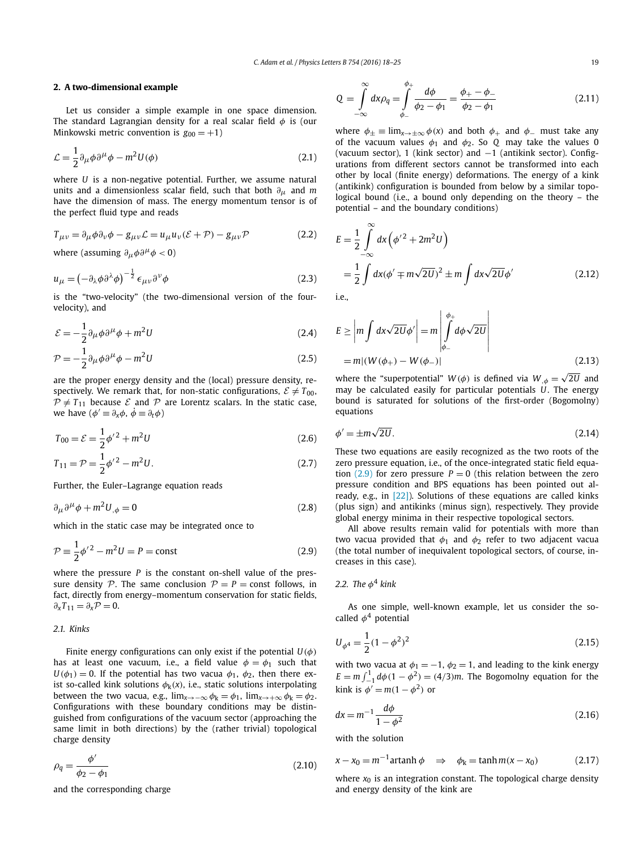#### <span id="page-2-0"></span>**2. A two-dimensional example**

Let us consider a simple example in one space dimension. The standard Lagrangian density for a real scalar field  $\phi$  is (our Minkowski metric convention is  $g_{00} = +1$ )

$$
\mathcal{L} = \frac{1}{2} \partial_{\mu} \phi \partial^{\mu} \phi - m^2 U(\phi)
$$
 (2.1)

where *U* is a non-negative potential. Further, we assume natural units and a dimensionless scalar field, such that both ∂μ and *m* have the dimension of mass. The energy momentum tensor is of the perfect fluid type and reads

$$
T_{\mu\nu} = \partial_{\mu}\phi\partial_{\nu}\phi - g_{\mu\nu}\mathcal{L} = u_{\mu}u_{\nu}(\mathcal{E} + \mathcal{P}) - g_{\mu\nu}\mathcal{P}
$$
 (2.2)

where (assuming  $\partial_{\mu}\phi\partial^{\mu}\phi < 0$ )

$$
u_{\mu} = \left(-\partial_{\lambda}\phi\partial^{\lambda}\phi\right)^{-\frac{1}{2}}\epsilon_{\mu\nu}\partial^{\nu}\phi\tag{2.3}
$$

is the "two-velocity" (the two-dimensional version of the fourvelocity), and

$$
\mathcal{E} = -\frac{1}{2}\partial_{\mu}\phi\partial^{\mu}\phi + m^2U\tag{2.4}
$$

$$
\mathcal{P} = -\frac{1}{2}\partial_{\mu}\phi\partial^{\mu}\phi - m^2U\tag{2.5}
$$

are the proper energy density and the (local) pressure density, respectively. We remark that, for non-static configurations,  $\mathcal{E} \neq T_{00}$ ,  $P \neq T_{11}$  because  $E$  and  $P$  are Lorentz scalars. In the static case, we have  $(\phi' \equiv \partial_x \phi, \phi \equiv \partial_t \phi)$ 

$$
T_{00} = \mathcal{E} = \frac{1}{2}\phi'^2 + m^2 U
$$
 (2.6)

$$
T_{11} = \mathcal{P} = \frac{1}{2}\phi'^2 - m^2 U.
$$
 (2.7)

Further, the Euler–Lagrange equation reads

$$
\partial_{\mu}\partial^{\mu}\phi + m^2 U_{,\phi} = 0 \tag{2.8}
$$

which in the static case may be integrated once to

$$
\mathcal{P} = \frac{1}{2}\phi'^2 - m^2 U = P = \text{const}
$$
 (2.9)

where the pressure *P* is the constant on-shell value of the pressure density P. The same conclusion  $P = P =$  const follows, in fact, directly from energy–momentum conservation for static fields,  $\partial_x T_{11} = \partial_x P = 0.$ 

#### *2.1. Kinks*

Finite energy configurations can only exist if the potential  $U(\phi)$ has at least one vacuum, i.e., a field value  $\phi = \phi_1$  such that  $U(\phi_1) = 0$ . If the potential has two vacua  $\phi_1$ ,  $\phi_2$ , then there exist so-called kink solutions  $\phi_k(x)$ , i.e., static solutions interpolating between the two vacua, e.g.,  $\lim_{x\to-\infty}\phi_k = \phi_1$ ,  $\lim_{x\to+\infty}\phi_k = \phi_2$ . Configurations with these boundary conditions may be distinguished from configurations of the vacuum sector (approaching the same limit in both directions) by the (rather trivial) topological charge density

$$
\rho_q = \frac{\phi'}{\phi_2 - \phi_1} \tag{2.10}
$$

*Q* = ∞ −∞  $dx \rho_q = \int^{\phi_+}$ φ− *d*φ  $\frac{d\phi}{\phi_2 - \phi_1} = \frac{\phi_+ - \phi_-}{\phi_2 - \phi_1}$  $\phi_2 - \phi_1$ (2.11)

where  $\phi_{\pm} \equiv \lim_{x \to \pm \infty} \phi(x)$  and both  $\phi_{+}$  and  $\phi_{-}$  must take any of the vacuum values  $\phi_1$  and  $\phi_2$ . So Q may take the values 0 (vacuum sector), 1 (kink sector) and  $-1$  (antikink sector). Configurations from different sectors cannot be transformed into each other by local (finite energy) deformations. The energy of a kink (antikink) configuration is bounded from below by a similar topological bound (i.e., a bound only depending on the theory – the potential – and the boundary conditions)

$$
E = \frac{1}{2} \int_{-\infty}^{\infty} dx \left( \phi'^2 + 2m^2 U \right)
$$
  
= 
$$
\frac{1}{2} \int dx (\phi' \mp m\sqrt{2U})^2 \pm m \int dx \sqrt{2U} \phi'
$$
 (2.12)

i.e.,

$$
E \ge \left| m \int dx \sqrt{2U} \phi' \right| = m \left| \int_{\phi_{-}}^{\phi_{+}} d\phi \sqrt{2U} \right|
$$
  
=  $m|(W(\phi_{+}) - W(\phi_{-})|)$  (2.13)

where the "superpotential"  $W(\phi)$  is defined via  $W_{,\phi} = \sqrt{2U}$  and may be calculated easily for particular potentials *U*. The energy bound is saturated for solutions of the first-order (Bogomolny) equations

$$
\phi' = \pm m\sqrt{2U}.\tag{2.14}
$$

These two equations are easily recognized as the two roots of the zero pressure equation, i.e., of the once-integrated static field equa-tion [\(2.9\)](#page-1-0) for zero pressure  $P = 0$  (this relation between the zero pressure condition and BPS equations has been pointed out already, e.g., in [\[22\]\)](#page-6-0). Solutions of these equations are called kinks (plus sign) and antikinks (minus sign), respectively. They provide global energy minima in their respective topological sectors.

All above results remain valid for potentials with more than two vacua provided that  $\phi_1$  and  $\phi_2$  refer to two adjacent vacua (the total number of inequivalent topological sectors, of course, increases in this case).

#### *2.2. The* φ 4 *kink*

As one simple, well-known example, let us consider the socalled  $\phi^4$  potential

$$
U_{\phi^4} = \frac{1}{2}(1 - \phi^2)^2
$$
 (2.15)

with two vacua at  $\phi_1 = -1$ ,  $\phi_2 = 1$ , and leading to the kink energy  $E = m \int_{-1}^{1} d\phi (1 - \phi^2) = (4/3)m$ . The Bogomolny equation for the kink is  $\phi' = m(1 - \phi^2)$  or

$$
dx = m^{-1} \frac{d\phi}{1 - \phi^2} \tag{2.16}
$$

with the solution

$$
x - x_0 = m^{-1} \text{artanh} \phi \quad \Rightarrow \quad \phi_k = \tanh m(x - x_0) \tag{2.17}
$$

where  $x_0$  is an integration constant. The topological charge density and energy density of the kink are

and the corresponding charge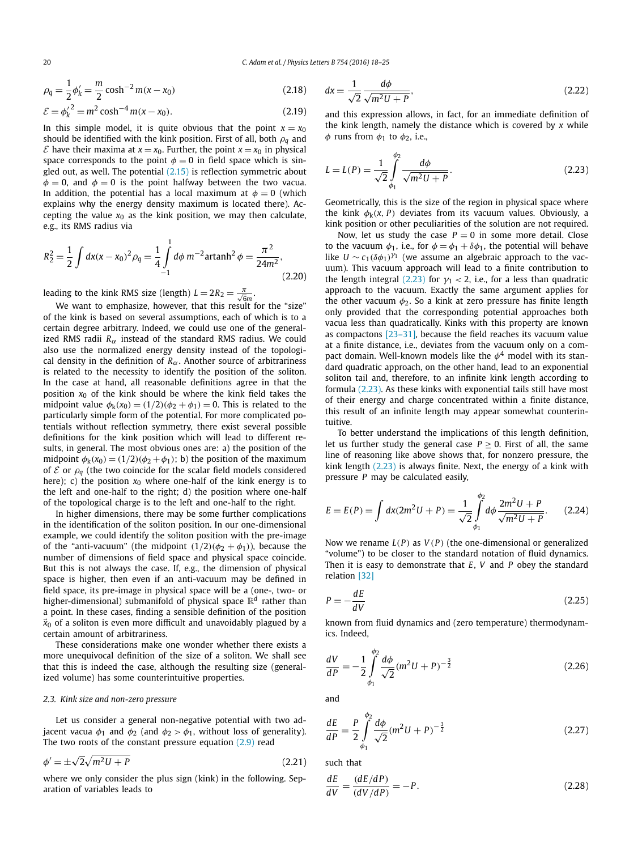$$
\rho_q = \frac{1}{2}\phi'_k = \frac{m}{2}\cosh^{-2}m(x - x_0)
$$
\n(2.18)

$$
\mathcal{E} = {\phi'_k}^2 = m^2 \cosh^{-4} m(x - x_0).
$$
 (2.19)

In this simple model, it is quite obvious that the point  $x = x_0$ should be identified with the kink position. First of all, both  $\rho_q$  and  $\mathcal E$  have their maxima at  $x = x_0$ . Further, the point  $x = x_0$  in physical space corresponds to the point  $\phi = 0$  in field space which is singled out, as well. The potential [\(2.15\)](#page-1-0) is reflection symmetric about  $\phi = 0$ , and  $\phi = 0$  is the point halfway between the two vacua. In addition, the potential has a local maximum at  $\phi = 0$  (which explains why the energy density maximum is located there). Accepting the value  $x_0$  as the kink position, we may then calculate, e.g., its RMS radius via

$$
R_2^2 = \frac{1}{2} \int dx (x - x_0)^2 \rho_q = \frac{1}{4} \int_{-1}^1 d\phi \, m^{-2} \text{artanh}^2 \, \phi = \frac{\pi^2}{24m^2},\tag{2.20}
$$

leading to the kink RMS size (length)  $L = 2R_2 = \frac{\pi}{\sqrt{6}m}$ .

We want to emphasize, however, that this result for the "size" of the kink is based on several assumptions, each of which is to a certain degree arbitrary. Indeed, we could use one of the generalized RMS radii  $R_{\alpha}$  instead of the standard RMS radius. We could also use the normalized energy density instead of the topological density in the definition of  $R_\alpha$ . Another source of arbitrariness is related to the necessity to identify the position of the soliton. In the case at hand, all reasonable definitions agree in that the position  $x_0$  of the kink should be where the kink field takes the midpoint value  $\phi_k(x_0) = (1/2)(\phi_2 + \phi_1) = 0$ . This is related to the particularly simple form of the potential. For more complicated potentials without reflection symmetry, there exist several possible definitions for the kink position which will lead to different results, in general. The most obvious ones are: a) the position of the midpoint  $\phi_k(x_0) = (1/2)(\phi_2 + \phi_1)$ ; b) the position of the maximum of  $\mathcal E$  or  $\rho_q$  (the two coincide for the scalar field models considered here); c) the position  $x_0$  where one-half of the kink energy is to the left and one-half to the right; d) the position where one-half of the topological charge is to the left and one-half to the right.

In higher dimensions, there may be some further complications in the identification of the soliton position. In our one-dimensional example, we could identify the soliton position with the pre-image of the "anti-vacuum" (the midpoint  $(1/2)(\phi_2 + \phi_1)$ ), because the number of dimensions of field space and physical space coincide. But this is not always the case. If, e.g., the dimension of physical space is higher, then even if an anti-vacuum may be defined in field space, its pre-image in physical space will be a (one-, two- or higher-dimensional) submanifold of physical space R *d* rather than a point. In these cases, finding a sensible definition of the position  $\vec{x}_0$  of a soliton is even more difficult and unavoidably plagued by a certain amount of arbitrariness.

These considerations make one wonder whether there exists a more unequivocal definition of the size of a soliton. We shall see that this is indeed the case, although the resulting size (generalized volume) has some counterintuitive properties.

### *2.3. Kink size and non-zero pressure*

Let us consider a general non-negative potential with two adjacent vacua  $\phi_1$  and  $\phi_2$  (and  $\phi_2 > \phi_1$ , without loss of generality). The two roots of the constant pressure equation  $(2.9)$  read

$$
\phi' = \pm \sqrt{2}\sqrt{m^2 U + P} \tag{2.21}
$$

where we only consider the plus sign (kink) in the following. Separation of variables leads to

$$
dx = \frac{1}{\sqrt{2}} \frac{d\phi}{\sqrt{m^2 U + P}},
$$
\n(2.22)

and this expression allows, in fact, for an immediate definition of the kink length, namely the distance which is covered by *x* while  $\phi$  runs from  $\phi_1$  to  $\phi_2$ , i.e.,

$$
L = L(P) = \frac{1}{\sqrt{2}} \int_{\phi_1}^{\phi_2} \frac{d\phi}{\sqrt{m^2 U + P}}.
$$
\n(2.23)

Geometrically, this is the size of the region in physical space where the kink  $\phi_k(x, P)$  deviates from its vacuum values. Obviously, a kink position or other peculiarities of the solution are not required.

Now, let us study the case  $P = 0$  in some more detail. Close to the vacuum  $\phi_1$ , i.e., for  $\phi = \phi_1 + \delta \phi_1$ , the potential will behave like  $U \sim c_1(\delta \phi_1)^{\gamma_1}$  (we assume an algebraic approach to the vacuum). This vacuum approach will lead to a finite contribution to the length integral [\(2.23\)](#page-2-0) for  $\gamma_1$  < 2, i.e., for a less than quadratic approach to the vacuum. Exactly the same argument applies for the other vacuum  $\phi_2$ . So a kink at zero pressure has finite length only provided that the corresponding potential approaches both vacua less than quadratically. Kinks with this property are known as compactons [\[23–31\],](#page-6-0) because the field reaches its vacuum value at a finite distance, i.e., deviates from the vacuum only on a compact domain. Well-known models like the  $\phi^4$  model with its standard quadratic approach, on the other hand, lead to an exponential soliton tail and, therefore, to an infinite kink length according to formula [\(2.23\).](#page-2-0) As these kinks with exponential tails still have most of their energy and charge concentrated within a finite distance, this result of an infinite length may appear somewhat counterintuitive.

To better understand the implications of this length definition, let us further study the general case  $P \geq 0$ . First of all, the same line of reasoning like above shows that, for nonzero pressure, the kink length [\(2.23\)](#page-2-0) is always finite. Next, the energy of a kink with pressure *P* may be calculated easily,

$$
E = E(P) = \int dx (2m^2 U + P) = \frac{1}{\sqrt{2}} \int_{\phi_1}^{\phi_2} d\phi \frac{2m^2 U + P}{\sqrt{m^2 U + P}}.
$$
 (2.24)

Now we rename *L*(*P*) as *V* (*P*) (the one-dimensional or generalized "volume") to be closer to the standard notation of fluid dynamics. Then it is easy to demonstrate that *E*, *V* and *P* obey the standard relation [\[32\]](#page-7-0)

$$
P = -\frac{dE}{dV} \tag{2.25}
$$

known from fluid dynamics and (zero temperature) thermodynamics. Indeed,

$$
\frac{dV}{dP} = -\frac{1}{2} \int_{\phi_1}^{\phi_2} \frac{d\phi}{\sqrt{2}} (m^2 U + P)^{-\frac{3}{2}} \tag{2.26}
$$

and

$$
\frac{dE}{dP} = \frac{P}{2} \int_{\phi_1}^{\phi_2} \frac{d\phi}{\sqrt{2}} (m^2 U + P)^{-\frac{3}{2}}
$$
\n(2.27)

such that

$$
\frac{dE}{dV} = \frac{(dE/dP)}{(dV/dP)} = -P.
$$
\n(2.28)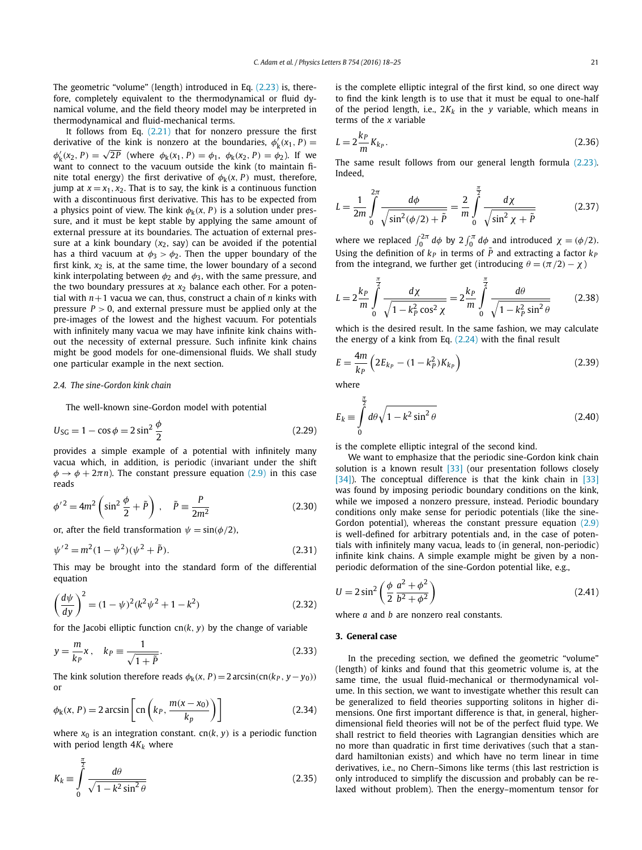<span id="page-4-0"></span>The geometric "volume" (length) introduced in Eq. [\(2.23\)](#page-2-0) is, therefore, completely equivalent to the thermodynamical or fluid dynamical volume, and the field theory model may be interpreted in thermodynamical and fluid-mechanical terms.

It follows from Eq. [\(2.21\)](#page-2-0) that for nonzero pressure the first derivative of the kink is nonzero at the boundaries,  $\phi'_{k}(x_1, P) =$  $\phi'_{k}(x_2, P) = \sqrt{2P}$  (where  $\phi_{k}(x_1, P) = \phi_1$ ,  $\phi_{k}(x_2, P) = \phi_2$ ). If we want to connect to the vacuum outside the kink (to maintain finite total energy) the first derivative of  $\phi_k(x, P)$  must, therefore, jump at  $x = x_1, x_2$ . That is to say, the kink is a continuous function with a discontinuous first derivative. This has to be expected from a physics point of view. The kink  $\phi_k(x, P)$  is a solution under pressure, and it must be kept stable by applying the same amount of external pressure at its boundaries. The actuation of external pressure at a kink boundary  $(x_2, say)$  can be avoided if the potential has a third vacuum at  $\phi_3 > \phi_2$ . Then the upper boundary of the first kink,  $x_2$  is, at the same time, the lower boundary of a second kink interpolating between  $\phi_2$  and  $\phi_3$ , with the same pressure, and the two boundary pressures at  $x_2$  balance each other. For a potential with  $n+1$  vacua we can, thus, construct a chain of  $n$  kinks with pressure  $P > 0$ , and external pressure must be applied only at the pre-images of the lowest and the highest vacuum. For potentials with infinitely many vacua we may have infinite kink chains without the necessity of external pressure. Such infinite kink chains might be good models for one-dimensional fluids. We shall study one particular example in the next section.

#### *2.4. The sine-Gordon kink chain*

The well-known sine-Gordon model with potential

$$
U_{SG} = 1 - \cos \phi = 2 \sin^2 \frac{\phi}{2}
$$
 (2.29)

provides a simple example of a potential with infinitely many vacua which, in addition, is periodic (invariant under the shift  $\phi \rightarrow \phi + 2\pi n$ ). The constant pressure equation [\(2.9\)](#page-1-0) in this case reads

$$
\phi'^2 = 4m^2 \left( \sin^2 \frac{\phi}{2} + \tilde{P} \right), \quad \tilde{P} \equiv \frac{P}{2m^2}
$$
 (2.30)

or, after the field transformation  $\psi = \sin(\phi/2)$ ,

$$
\psi'^2 = m^2 (1 - \psi^2)(\psi^2 + \tilde{P}).
$$
\n(2.31)

This may be brought into the standard form of the differential equation

$$
\left(\frac{d\psi}{dy}\right)^2 = (1 - \psi)^2 (k^2 \psi^2 + 1 - k^2)
$$
\n(2.32)

for the Jacobi elliptic function cn(*k*, *y*) by the change of variable

$$
y = \frac{m}{k_P} x, \quad k_P \equiv \frac{1}{\sqrt{1 + \tilde{P}}}.
$$
\n(2.33)

The kink solution therefore reads  $\phi_k(x, P) = 2 \arcsin(\text{cn}(k_P, y - y_0))$ or

$$
\phi_{k}(x, P) = 2 \arcsin \left[ \text{cn}\left(k_{P}, \frac{m(x - x_{0})}{k_{p}}\right) \right]
$$
 (2.34)

where  $x_0$  is an integration constant.  $cn(k, y)$  is a periodic function with period length 4*K<sup>k</sup>* where

$$
K_k \equiv \int_0^{\frac{\pi}{2}} \frac{d\theta}{\sqrt{1 - k^2 \sin^2 \theta}}
$$
(2.35)

is the complete elliptic integral of the first kind, so one direct way to find the kink length is to use that it must be equal to one-half of the period length, i.e.,  $2K_k$  in the *y* variable, which means in terms of the *x* variable

$$
L = 2\frac{k_P}{m}K_{k_P}.\tag{2.36}
$$

The same result follows from our general length formula [\(2.23\).](#page-2-0) Indeed,

$$
L = \frac{1}{2m} \int_{0}^{2\pi} \frac{d\phi}{\sqrt{\sin^2(\phi/2) + \tilde{P}}} = \frac{2}{m} \int_{0}^{\frac{\pi}{2}} \frac{d\chi}{\sqrt{\sin^2 \chi + \tilde{P}}} \tag{2.37}
$$

where we replaced  $\int_0^{2\pi} d\phi$  by  $2 \int_0^{\pi} d\phi$  and introduced  $\chi = (\phi/2)$ . Using the definition of  $k_P$  in terms of  $\tilde{P}$  and extracting a factor  $k_P$ from the integrand, we further get (introducing  $\theta = (\pi/2) - \chi$ )

$$
L = 2\frac{k_P}{m} \int_0^{\frac{\pi}{2}} \frac{d\chi}{\sqrt{1 - k_P^2 \cos^2 \chi}} = 2\frac{k_P}{m} \int_0^{\frac{\pi}{2}} \frac{d\theta}{\sqrt{1 - k_P^2 \sin^2 \theta}}
$$
(2.38)

which is the desired result. In the same fashion, we may calculate the energy of a kink from Eq.  $(2.24)$  with the final result

$$
E = \frac{4m}{k_P} \left( 2E_{k_P} - (1 - k_P^2) K_{k_P} \right)
$$
 (2.39)

where

$$
E_k \equiv \int_0^{\frac{\pi}{2}} d\theta \sqrt{1 - k^2 \sin^2 \theta} \tag{2.40}
$$

is the complete elliptic integral of the second kind.

We want to emphasize that the periodic sine-Gordon kink chain solution is a known result [\[33\]](#page-7-0) (our presentation follows closely [\[34\]\)](#page-7-0). The conceptual difference is that the kink chain in [\[33\]](#page-7-0) was found by imposing periodic boundary conditions on the kink, while we imposed a nonzero pressure, instead. Periodic boundary conditions only make sense for periodic potentials (like the sine-Gordon potential), whereas the constant pressure equation [\(2.9\)](#page-1-0) is well-defined for arbitrary potentials and, in the case of potentials with infinitely many vacua, leads to (in general, non-periodic) infinite kink chains. A simple example might be given by a nonperiodic deformation of the sine-Gordon potential like, e.g.,

$$
U = 2\sin^2\left(\frac{\phi}{2}\frac{a^2 + \phi^2}{b^2 + \phi^2}\right)
$$
 (2.41)

where *a* and *b* are nonzero real constants.

#### **3. General case**

In the preceding section, we defined the geometric "volume" (length) of kinks and found that this geometric volume is, at the same time, the usual fluid-mechanical or thermodynamical volume. In this section, we want to investigate whether this result can be generalized to field theories supporting solitons in higher dimensions. One first important difference is that, in general, higherdimensional field theories will not be of the perfect fluid type. We shall restrict to field theories with Lagrangian densities which are no more than quadratic in first time derivatives (such that a standard hamiltonian exists) and which have no term linear in time derivatives, i.e., no Chern–Simons like terms (this last restriction is only introduced to simplify the discussion and probably can be relaxed without problem). Then the energy–momentum tensor for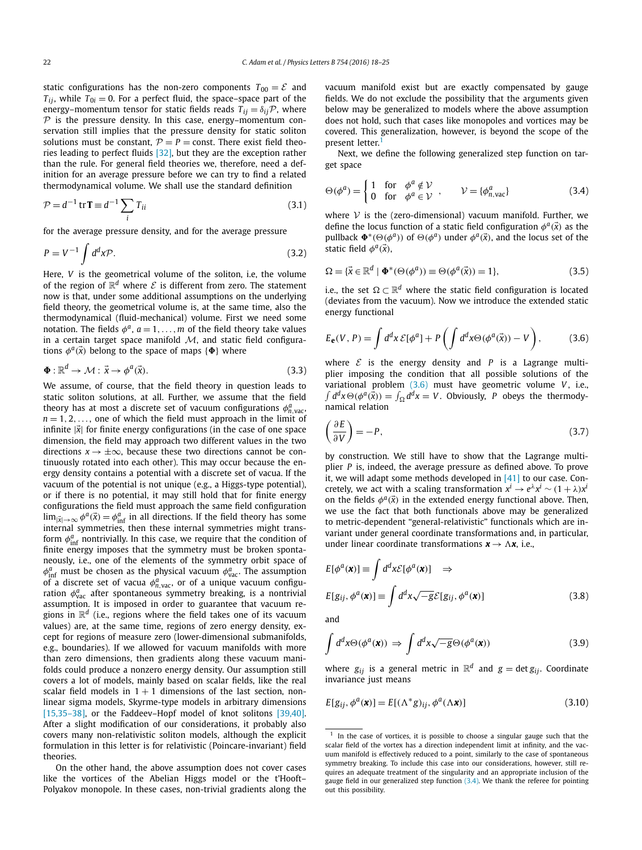<span id="page-5-0"></span>static configurations has the non-zero components  $T_{00} = \mathcal{E}$  and  $T_{ij}$ , while  $T_{0i} = 0$ . For a perfect fluid, the space–space part of the energy–momentum tensor for static fields reads  $T_{ij} = \delta_{ij} \mathcal{P}$ , where  $P$  is the pressure density. In this case, energy–momentum conservation still implies that the pressure density for static soliton solutions must be constant,  $P = P =$ const. There exist field theories leading to perfect fluids [\[32\],](#page-7-0) but they are the exception rather than the rule. For general field theories we, therefore, need a definition for an average pressure before we can try to find a related thermodynamical volume. We shall use the standard definition

$$
\mathcal{P} = d^{-1} \operatorname{tr} \mathbf{T} \equiv d^{-1} \sum_{i} T_{ii}
$$
\n(3.1)

for the average pressure density, and for the average pressure

$$
P = V^{-1} \int d^d x \mathcal{P}.
$$
 (3.2)

Here, *V* is the geometrical volume of the soliton, i.e, the volume of the region of  $\mathbb{R}^d$  where  ${\cal E}$  is different from zero. The statement now is that, under some additional assumptions on the underlying field theory, the geometrical volume is, at the same time, also the thermodynamical (fluid-mechanical) volume. First we need some notation. The fields  $\phi^a$ ,  $a = 1, ..., m$  of the field theory take values in a certain target space manifold  $M$ , and static field configurations  $\phi^a(\vec{x})$  belong to the space of maps  $\{\Phi\}$  where

$$
\Phi: \mathbb{R}^d \to \mathcal{M}: \vec{x} \to \phi^a(\vec{x}). \tag{3.3}
$$

We assume, of course, that the field theory in question leads to static soliton solutions, at all. Further, we assume that the field theory has at most a discrete set of vacuum configurations  $\phi^a_{n,\text{vac}}$ ,  $n = 1, 2, \ldots$ , one of which the field must approach in the limit of infinite  $|\vec{x}|$  for finite energy configurations (in the case of one space dimension, the field may approach two different values in the two directions  $x \rightarrow \pm \infty$ , because these two directions cannot be continuously rotated into each other). This may occur because the energy density contains a potential with a discrete set of vacua. If the vacuum of the potential is not unique (e.g., a Higgs-type potential), or if there is no potential, it may still hold that for finite energy configurations the field must approach the same field configuration  $\lim_{|\vec{x}| \to \infty} \phi^a(\vec{x}) = \phi^a_{\text{inf}}$  in all directions. If the field theory has some internal symmetries, then these internal symmetries might transform  $\phi_{\rm inf}^a$  nontrivially. In this case, we require that the condition of finite energy imposes that the symmetry must be broken spontaneously, i.e., one of the elements of the symmetry orbit space of  $\phi_{\text{inf}}^a$  must be chosen as the physical vacuum  $\phi_{\text{vac}}^a$ . The assumption  $\sigma$  a discrete set of vacua  $\phi_{n,\text{vac}}^a$ , or of a unique vacuum configuration  $\phi_{\text{vac}}^a$  after spontaneous symmetry breaking, is a nontrivial assumption. It is imposed in order to guarantee that vacuum regions in R *d* (i.e., regions where the field takes one of its vacuum values) are, at the same time, regions of zero energy density, except for regions of measure zero (lower-dimensional submanifolds, e.g., boundaries). If we allowed for vacuum manifolds with more than zero dimensions, then gradients along these vacuum manifolds could produce a nonzero energy density. Our assumption still covers a lot of models, mainly based on scalar fields, like the real scalar field models in  $1 + 1$  dimensions of the last section, nonlinear sigma models, Skyrme-type models in arbitrary dimensions [\[15,35–38\],](#page-6-0) or the Faddeev–Hopf model of knot solitons [\[39,40\].](#page-7-0) After a slight modification of our considerations, it probably also covers many non-relativistic soliton models, although the explicit formulation in this letter is for relativistic (Poincare-invariant) field theories.

On the other hand, the above assumption does not cover cases like the vortices of the Abelian Higgs model or the t'Hooft– Polyakov monopole. In these cases, non-trivial gradients along the vacuum manifold exist but are exactly compensated by gauge fields. We do not exclude the possibility that the arguments given below may be generalized to models where the above assumption does not hold, such that cases like monopoles and vortices may be covered. This generalization, however, is beyond the scope of the present letter.[1](#page-4-0)

Next, we define the following generalized step function on target space

$$
\Theta(\phi^a) = \begin{cases} 1 & \text{for } \phi^a \notin \mathcal{V} \\ 0 & \text{for } \phi^a \in \mathcal{V} \end{cases}, \qquad \mathcal{V} = \{\phi^a_{n,\text{vac}}\} \tag{3.4}
$$

where  $V$  is the (zero-dimensional) vacuum manifold. Further, we define the locus function of a static field configuration  $\phi^a(\vec{x})$  as the pullback  $\Phi^*(\Theta(\phi^a))$  of  $\Theta(\phi^a)$  under  $\phi^a(\vec{x})$ , and the locus set of the static field  $\phi^a(\vec{x})$ ,

$$
\Omega = \{ \vec{x} \in \mathbb{R}^d \mid \Phi^*(\Theta(\phi^a)) \equiv \Theta(\phi^a(\vec{x})) = 1 \},\tag{3.5}
$$

i.e., the set  $\Omega \subset \mathbb{R}^d$  where the static field configuration is located (deviates from the vacuum). Now we introduce the extended static energy functional

$$
E_{\mathbf{e}}(V, P) = \int d^d x \, \mathcal{E}[\phi^a] + P\left(\int d^d x \Theta(\phi^a(\vec{x})) - V\right),\tag{3.6}
$$

where  $\mathcal E$  is the energy density and  $P$  is a Lagrange multiplier imposing the condition that all possible solutions of the variational problem [\(3.6\)](#page-4-0) must have geometric volume *V*, i.e.,  $\int d^d x \, \Theta(\phi^a(\vec{x})) = \int_{\Omega} d^d x = V$ . Obviously, *P* obeys the thermodynamical relation

$$
\left(\frac{\partial E}{\partial V}\right) = -P,\tag{3.7}
$$

by construction. We still have to show that the Lagrange multiplier *P* is, indeed, the average pressure as defined above. To prove it, we will adapt some methods developed in  $[41]$  to our case. Concretely, we act with a scaling transformation  $x^i \rightarrow e^{\lambda} x^i \sim (1 + \lambda)x^i$ on the fields  $\phi^a(\vec{x})$  in the extended energy functional above. Then, we use the fact that both functionals above may be generalized to metric-dependent "general-relativistic" functionals which are invariant under general coordinate transformations and, in particular, under linear coordinate transformations  $x \rightarrow \Lambda x$ , i.e.,

$$
E[\phi^{a}(\mathbf{x})] \equiv \int d^{d}x \mathcal{E}[\phi^{a}(\mathbf{x})] \Rightarrow
$$
  
\n
$$
E[g_{ij}, \phi^{a}(\mathbf{x})] \equiv \int d^{d}x \sqrt{-g} \mathcal{E}[g_{ij}, \phi^{a}(\mathbf{x})]
$$
\n(3.8)

and

$$
\int d^d x \Theta(\phi^a(\mathbf{x})) \Rightarrow \int d^d x \sqrt{-g} \Theta(\phi^a(\mathbf{x})) \tag{3.9}
$$

where  $g_{ij}$  is a general metric in  $\mathbb{R}^d$  and  $g = \det g_{ij}$ . Coordinate invariance just means

$$
E[g_{ij}, \phi^a(\mathbf{x})] = E[(\Lambda^* g)_{ij}, \phi^a(\Lambda \mathbf{x})]
$$
\n(3.10)

<sup>1</sup> In the case of vortices, it is possible to choose a singular gauge such that the scalar field of the vortex has a direction independent limit at infinity, and the vacuum manifold is effectively reduced to a point, similarly to the case of spontaneous symmetry breaking. To include this case into our considerations, however, still requires an adequate treatment of the singularity and an appropriate inclusion of the gauge field in our generalized step function  $(3.4)$ . We thank the referee for pointing out this possibility.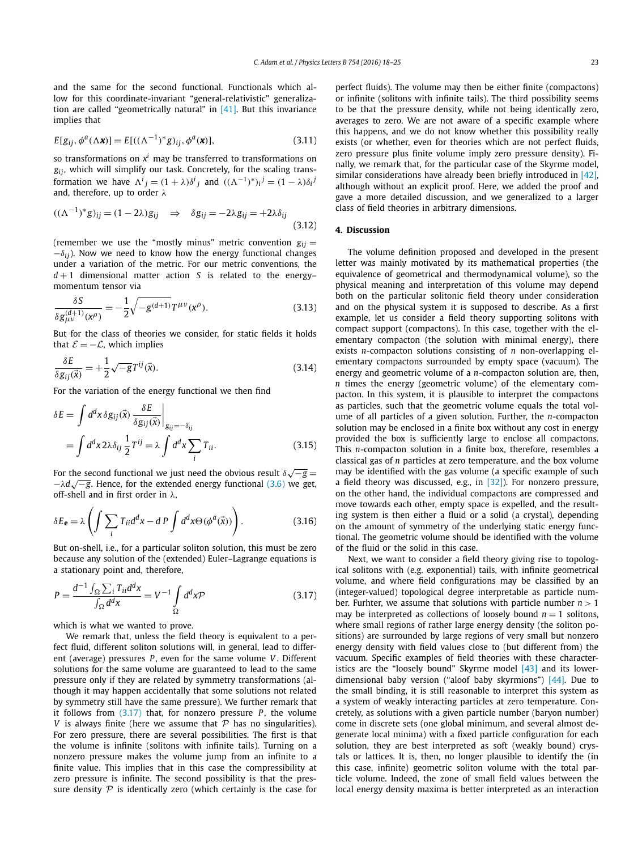<span id="page-6-0"></span>and the same for the second functional. Functionals which allow for this coordinate-invariant "general-relativistic" generalization are called "geometrically natural" in  $[41]$ . But this invariance implies that

$$
E[g_{ij}, \phi^a(\Lambda \mathbf{x})] = E[((\Lambda^{-1})^*g)_{ij}, \phi^a(\mathbf{x})],
$$
\n(3.11)

so transformations on *x <sup>i</sup>* may be transferred to transformations on *gij*, which will simplify our task. Concretely, for the scaling transformation we have  $\Lambda^i{}_j = (1 + \lambda)\delta^i{}_j$  and  $((\Lambda^{-1})^*)_i{}^j = (1 - \lambda)\delta_i{}^j$ and, therefore, up to order λ

$$
((\Lambda^{-1})^*g)_{ij} = (1 - 2\lambda)g_{ij} \quad \Rightarrow \quad \delta g_{ij} = -2\lambda g_{ij} = +2\lambda \delta_{ij}
$$
\n(3.12)

(remember we use the "mostly minus" metric convention  $g_{ij}$  =  $-\delta_{ij}$ ). Now we need to know how the energy functional changes under a variation of the metric. For our metric conventions, the  $d+1$  dimensional matter action *S* is related to the energy– momentum tensor via

$$
\frac{\delta S}{\delta g_{\mu\nu}^{(d+1)}(x^{\rho})} = -\frac{1}{2} \sqrt{-g^{(d+1)}} T^{\mu\nu}(x^{\rho}).
$$
\n(3.13)

But for the class of theories we consider, for static fields it holds that  $\mathcal{E} = -\mathcal{L}$ , which implies

$$
\frac{\delta E}{\delta g_{ij}(\vec{x})} = +\frac{1}{2}\sqrt{-g}T^{ij}(\vec{x}).
$$
\n(3.14)

For the variation of the energy functional we then find

$$
\delta E = \int d^d x \, \delta g_{ij}(\vec{x}) \frac{\delta E}{\delta g_{ij}(\vec{x})} \Big|_{g_{ij} = -\delta_{ij}} \n= \int d^d x \, 2\lambda \delta_{ij} \frac{1}{2} T^{ij} = \lambda \int d^d x \sum_i T_{ii}.
$$
\n(3.15)

For the second functional we just need the obvious result  $\delta \sqrt{-g}$  =  $-\lambda d\sqrt{-g}$ . Hence, for the extended energy functional [\(3.6\)](#page-4-0) we get, off-shell and in first order in  $\lambda$ ,

$$
\delta E_{\mathbf{e}} = \lambda \left( \int \sum_{i} T_{ii} d^d x - d P \int d^d x \Theta (\phi^a(\vec{x})) \right). \tag{3.16}
$$

But on-shell, i.e., for a particular soliton solution, this must be zero because any solution of the (extended) Euler–Lagrange equations is a stationary point and, therefore,

$$
P = \frac{d^{-1} \int_{\Omega} \sum_{i} T_{ii} d^{d}x}{\int_{\Omega} d^{d}x} = V^{-1} \int_{\Omega} d^{d}x \mathcal{P}
$$
(3.17)

which is what we wanted to prove.

We remark that, unless the field theory is equivalent to a perfect fluid, different soliton solutions will, in general, lead to different (average) pressures *P* , even for the same volume *V* . Different solutions for the same volume are guaranteed to lead to the same pressure only if they are related by symmetry transformations (although it may happen accidentally that some solutions not related by symmetry still have the same pressure). We further remark that it follows from  $(3.17)$  that, for nonzero pressure  $P$ , the volume *V* is always finite (here we assume that  $P$  has no singularities). For zero pressure, there are several possibilities. The first is that the volume is infinite (solitons with infinite tails). Turning on a nonzero pressure makes the volume jump from an infinite to a finite value. This implies that in this case the compressibility at zero pressure is infinite. The second possibility is that the pressure density  $P$  is identically zero (which certainly is the case for perfect fluids). The volume may then be either finite (compactons) or infinite (solitons with infinite tails). The third possibility seems to be that the pressure density, while not being identically zero, averages to zero. We are not aware of a specific example where this happens, and we do not know whether this possibility really exists (or whether, even for theories which are not perfect fluids, zero pressure plus finite volume imply zero pressure density). Finally, we remark that, for the particular case of the Skyrme model, similar considerations have already been briefly introduced in [\[42\],](#page-7-0) although without an explicit proof. Here, we added the proof and gave a more detailed discussion, and we generalized to a larger class of field theories in arbitrary dimensions.

#### **4. Discussion**

The volume definition proposed and developed in the present letter was mainly motivated by its mathematical properties (the equivalence of geometrical and thermodynamical volume), so the physical meaning and interpretation of this volume may depend both on the particular solitonic field theory under consideration and on the physical system it is supposed to describe. As a first example, let us consider a field theory supporting solitons with compact support (compactons). In this case, together with the elementary compacton (the solution with minimal energy), there exists *n*-compacton solutions consisting of *n* non-overlapping elementary compactons surrounded by empty space (vacuum). The energy and geometric volume of a *n*-compacton solution are, then, *n* times the energy (geometric volume) of the elementary compacton. In this system, it is plausible to interpret the compactons as particles, such that the geometric volume equals the total volume of all particles of a given solution. Further, the *n*-compacton solution may be enclosed in a finite box without any cost in energy provided the box is sufficiently large to enclose all compactons. This *n*-compacton solution in a finite box, therefore, resembles a classical gas of *n* particles at zero temperature, and the box volume may be identified with the gas volume (a specific example of such a field theory was discussed, e.g., in  $[32]$ ). For nonzero pressure, on the other hand, the individual compactons are compressed and move towards each other, empty space is expelled, and the resulting system is then either a fluid or a solid (a crystal), depending on the amount of symmetry of the underlying static energy functional. The geometric volume should be identified with the volume of the fluid or the solid in this case.

Next, we want to consider a field theory giving rise to topological solitons with (e.g. exponential) tails, with infinite geometrical volume, and where field configurations may be classified by an (integer-valued) topological degree interpretable as particle number. Furhter, we assume that solutions with particle number  $n > 1$ may be interpreted as collections of loosely bound  $n = 1$  solitons, where small regions of rather large energy density (the soliton positions) are surrounded by large regions of very small but nonzero energy density with field values close to (but different from) the vacuum. Specific examples of field theories with these character-istics are the "loosely bound" Skyrme model [\[43\]](#page-7-0) and its lowerdimensional baby version ("aloof baby skyrmions") [\[44\].](#page-7-0) Due to the small binding, it is still reasonable to interpret this system as a system of weakly interacting particles at zero temperature. Concretely, as solutions with a given particle number (baryon number) come in discrete sets (one global minimum, and several almost degenerate local minima) with a fixed particle configuration for each solution, they are best interpreted as soft (weakly bound) crystals or lattices. It is, then, no longer plausible to identify the (in this case, infinite) geometric soliton volume with the total particle volume. Indeed, the zone of small field values between the local energy density maxima is better interpreted as an interaction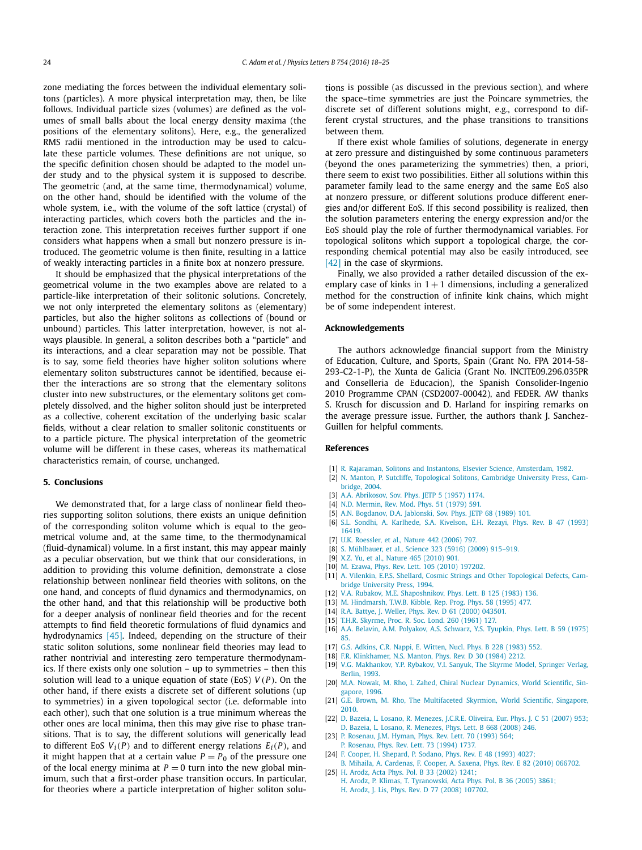<span id="page-7-0"></span>zone mediating the forces between the individual elementary solitons (particles). A more physical interpretation may, then, be like follows. Individual particle sizes (volumes) are defined as the volumes of small balls about the local energy density maxima (the positions of the elementary solitons). Here, e.g., the generalized RMS radii mentioned in the introduction may be used to calculate these particle volumes. These definitions are not unique, so the specific definition chosen should be adapted to the model under study and to the physical system it is supposed to describe. The geometric (and, at the same time, thermodynamical) volume, on the other hand, should be identified with the volume of the whole system, i.e., with the volume of the soft lattice (crystal) of interacting particles, which covers both the particles and the interaction zone. This interpretation receives further support if one considers what happens when a small but nonzero pressure is introduced. The geometric volume is then finite, resulting in a lattice of weakly interacting particles in a finite box at nonzero pressure.

It should be emphasized that the physical interpretations of the geometrical volume in the two examples above are related to a particle-like interpretation of their solitonic solutions. Concretely, we not only interpreted the elementary solitons as (elementary) particles, but also the higher solitons as collections of (bound or unbound) particles. This latter interpretation, however, is not always plausible. In general, a soliton describes both a "particle" and its interactions, and a clear separation may not be possible. That is to say, some field theories have higher soliton solutions where elementary soliton substructures cannot be identified, because either the interactions are so strong that the elementary solitons cluster into new substructures, or the elementary solitons get completely dissolved, and the higher soliton should just be interpreted as a collective, coherent excitation of the underlying basic scalar fields, without a clear relation to smaller solitonic constituents or to a particle picture. The physical interpretation of the geometric volume will be different in these cases, whereas its mathematical characteristics remain, of course, unchanged.

#### **5. Conclusions**

We demonstrated that, for a large class of nonlinear field theories supporting soliton solutions, there exists an unique definition of the corresponding soliton volume which is equal to the geometrical volume and, at the same time, to the thermodynamical (fluid-dynamical) volume. In a first instant, this may appear mainly as a peculiar observation, but we think that our considerations, in addition to providing this volume definition, demonstrate a close relationship between nonlinear field theories with solitons, on the one hand, and concepts of fluid dynamics and thermodynamics, on the other hand, and that this relationship will be productive both for a deeper analysis of nonlinear field theories and for the recent attempts to find field theoretic formulations of fluid dynamics and hydrodynamics [45]. Indeed, depending on the structure of their static soliton solutions, some nonlinear field theories may lead to rather nontrivial and interesting zero temperature thermodynamics. If there exists only one solution – up to symmetries – then this solution will lead to a unique equation of state (EoS) *V* (*P*). On the other hand, if there exists a discrete set of different solutions (up to symmetries) in a given topological sector (i.e. deformable into each other), such that one solution is a true minimum whereas the other ones are local minima, then this may give rise to phase transitions. That is to say, the different solutions will generically lead to different EoS  $V_i(P)$  and to different energy relations  $E_i(P)$ , and it might happen that at a certain value  $P = P_0$  of the pressure one of the local energy minima at  $P = 0$  turn into the new global minimum, such that a first-order phase transition occurs. In particular, for theories where a particle interpretation of higher soliton solutions is possible (as discussed in the previous section), and where the space–time symmetries are just the Poincare symmetries, the discrete set of different solutions might, e.g., correspond to different crystal structures, and the phase transitions to transitions between them.

If there exist whole families of solutions, degenerate in energy at zero pressure and distinguished by some continuous parameters (beyond the ones parameterizing the symmetries) then, a priori, there seem to exist two possibilities. Either all solutions within this parameter family lead to the same energy and the same EoS also at nonzero pressure, or different solutions produce different energies and/or different EoS. If this second possibility is realized, then the solution parameters entering the energy expression and/or the EoS should play the role of further thermodynamical variables. For topological solitons which support a topological charge, the corresponding chemical potential may also be easily introduced, see [42] in the case of skyrmions.

Finally, we also provided a rather detailed discussion of the exemplary case of kinks in  $1+1$  dimensions, including a generalized method for the construction of infinite kink chains, which might be of some independent interest.

#### **Acknowledgements**

The authors acknowledge financial support from the Ministry of Education, Culture, and Sports, Spain (Grant No. FPA 2014-58- 293-C2-1-P), the Xunta de Galicia (Grant No. INCITE09.296.035PR and Conselleria de Educacion), the Spanish Consolider-Ingenio 2010 Programme CPAN (CSD2007-00042), and FEDER. AW thanks S. Krusch for discussion and D. Harland for inspiring remarks on the average pressure issue. Further, the authors thank J. Sanchez-Guillen for helpful comments.

#### **References**

- [1] R. Rajaraman, Solitons and Instantons, Elsevier Science, [Amsterdam,](http://refhub.elsevier.com/S0370-2693(16)00013-7/bib72616A612D626F6F6Bs1) 1982.
- [2] N. Manton, P. Sutcliffe, [Topological](http://refhub.elsevier.com/S0370-2693(16)00013-7/bib6D616E2D7375742D626F6F6Bs1) Solitons, Cambridge University Press, Cam[bridge,](http://refhub.elsevier.com/S0370-2693(16)00013-7/bib6D616E2D7375742D626F6F6Bs1) 2004.
- [3] A.A. [Abrikosov,](http://refhub.elsevier.com/S0370-2693(16)00013-7/bib616272696Bs1) Sov. Phys. JETP 5 (1957) 1174.
- [4] N.D. [Mermin,](http://refhub.elsevier.com/S0370-2693(16)00013-7/bib6D65726D696Es1) Rev. Mod. Phys. 51 (1979) 591.
- [5] A.N. [Bogdanov,](http://refhub.elsevier.com/S0370-2693(16)00013-7/bib626F67s1) D.A. Jablonski, Sov. Phys. JETP 68 (1989) 101.
- [6] S.L. Sondhi, A. [Karlhede,](http://refhub.elsevier.com/S0370-2693(16)00013-7/bib736F6E646869s1) S.A. Kivelson, E.H. Rezayi, Phys. Rev. B 47 (1993) [16419.](http://refhub.elsevier.com/S0370-2693(16)00013-7/bib736F6E646869s1)
- [7] U.K. [Roessler,](http://refhub.elsevier.com/S0370-2693(16)00013-7/bib726F6573s1) et al., Nature 442 (2006) 797.
- [8] S. [Mühlbauer,](http://refhub.elsevier.com/S0370-2693(16)00013-7/bib6D75686Cs1) et al., Science 323 (5916) (2009) 915–919.
- [9] X.Z. Yu, et al., [Nature](http://refhub.elsevier.com/S0370-2693(16)00013-7/bib7975s1) 465 (2010) 901.
- [10] M. Ezawa, Phys. Rev. Lett. 105 (2010) [197202.](http://refhub.elsevier.com/S0370-2693(16)00013-7/bib657A617761s1)
- [11] A. Vilenkin, E.P.S. Shellard, Cosmic Strings and Other [Topological](http://refhub.elsevier.com/S0370-2693(16)00013-7/bib76696C656E6B696Es1) Defects, Cambridge [University](http://refhub.elsevier.com/S0370-2693(16)00013-7/bib76696C656E6B696Es1) Press, 1994.
- [12] V.A. Rubakov, M.E. [Shaposhnikov,](http://refhub.elsevier.com/S0370-2693(16)00013-7/bib72756231s1) Phys. Lett. B 125 (1983) 136.
- [13] M. [Hindmarsh,](http://refhub.elsevier.com/S0370-2693(16)00013-7/bib48696E64s1) T.W.B. Kibble, Rep. Prog. Phys. 58 (1995) 477.
- [14] R.A. Battye, J. Weller, Phys. Rev. D 61 (2000) [043501.](http://refhub.elsevier.com/S0370-2693(16)00013-7/bib626174747965s1)
- [15] T.H.R. [Skyrme,](http://refhub.elsevier.com/S0370-2693(16)00013-7/bib736B79726D65s1) Proc. R. Soc. Lond. 260 (1961) 127.
- [16] A.A. Belavin, A.M. [Polyakov,](http://refhub.elsevier.com/S0370-2693(16)00013-7/bib696E7374s1) A.S. Schwarz, Y.S. Tyupkin, Phys. Lett. B 59 (1975) [85.](http://refhub.elsevier.com/S0370-2693(16)00013-7/bib696E7374s1)
- [17] G.S. Adkins, C.R. Nappi, E. [Witten,](http://refhub.elsevier.com/S0370-2693(16)00013-7/bib77697474656Es1) Nucl. Phys. B 228 (1983) 552.
- [18] F.R. [Klinkhamer,](http://refhub.elsevier.com/S0370-2693(16)00013-7/bib737068616Cs1) N.S. Manton, Phys. Rev. D 30 (1984) 2212.
- [19] V.G. [Makhankov,](http://refhub.elsevier.com/S0370-2693(16)00013-7/bib727962616B6F762D626F6F6Bs1) Y.P. Rybakov, V.I. Sanyuk, The Skyrme Model, Springer Verlag, [Berlin,](http://refhub.elsevier.com/S0370-2693(16)00013-7/bib727962616B6F762D626F6F6Bs1) 1993.
- [20] M.A. Nowak, M. Rho, I. Zahed, Chiral Nuclear [Dynamics,](http://refhub.elsevier.com/S0370-2693(16)00013-7/bib6E6F77616Bs1) World Scientific, Sin[gapore,](http://refhub.elsevier.com/S0370-2693(16)00013-7/bib6E6F77616Bs1) 1996.
- [21] G.E. Brown, M. Rho, The [Multifaceted](http://refhub.elsevier.com/S0370-2693(16)00013-7/bib62726F776E2D72686Fs1) Skyrmion, World Scientific, Singapore, [2010.](http://refhub.elsevier.com/S0370-2693(16)00013-7/bib62726F776E2D72686Fs1)
- [22] D. Bazeia, L. Losano, R. [Menezes,](http://refhub.elsevier.com/S0370-2693(16)00013-7/bib62617A65696132s1) J.C.R.E. Oliveira, Eur. Phys. J. C 51 (2007) 953; D. Bazeia, L. Losano, R. [Menezes,](http://refhub.elsevier.com/S0370-2693(16)00013-7/bib62617A65696132s2) Phys. Lett. B 668 (2008) 246.
- [23] P. [Rosenau,](http://refhub.elsevier.com/S0370-2693(16)00013-7/bib726F73656E6175s1) J.M. Hyman, Phys. Rev. Lett. 70 (1993) 564; P. [Rosenau,](http://refhub.elsevier.com/S0370-2693(16)00013-7/bib726F73656E6175s2) Phys. Rev. Lett. 73 (1994) 1737.
- [24] F. Cooper, H. [Shepard,](http://refhub.elsevier.com/S0370-2693(16)00013-7/bib736F64616E6F31s1) P. Sodano, Phys. Rev. E 48 (1993) 4027; B. Mihaila, A. [Cardenas,](http://refhub.elsevier.com/S0370-2693(16)00013-7/bib736F64616E6F31s2) F. Cooper, A. Saxena, Phys. Rev. E 82 (2010) 066702.
- [25] H. Arodz, Acta Phys. Pol. B 33 [\(2002\)](http://refhub.elsevier.com/S0370-2693(16)00013-7/bib61726F647As1) 1241; H. Arodz, P. Klimas, T. [Tyranowski,](http://refhub.elsevier.com/S0370-2693(16)00013-7/bib61726F647As2) Acta Phys. Pol. B 36 (2005) 3861; H. Arodz, J. Lis, Phys. Rev. D 77 (2008) [107702.](http://refhub.elsevier.com/S0370-2693(16)00013-7/bib61726F647As3)